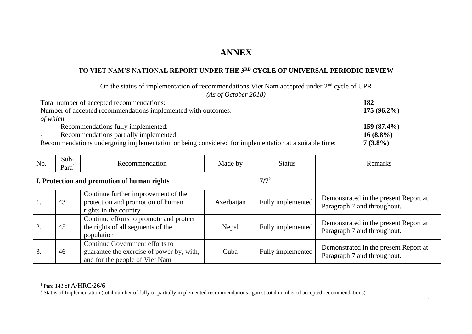## **ANNEX**

## **TO VIET NAM'S NATIONAL REPORT UNDER THE 3RD CYCLE OF UNIVERSAL PERIODIC REVIEW**

On the status of implementation of recommendations Viet Nam accepted under 2<sup>nd</sup> cycle of UPR *(As of October 2018)*

| Total number of accepted recommendations:                                                            | 182           |  |
|------------------------------------------------------------------------------------------------------|---------------|--|
| Number of accepted recommendations implemented with outcomes:                                        |               |  |
| of which                                                                                             |               |  |
| Recommendations fully implemented:<br>$\sim$                                                         | $159(87.4\%)$ |  |
| Recommendations partially implemented:<br>$\sim$                                                     | $16(8.8\%)$   |  |
| Recommendations undergoing implementation or being considered for implementation at a suitable time: | $7(3.8\%)$    |  |

| No.                                         | Sub-<br>Para | Recommendation                                                                                                | Made by    | <b>Status</b>     | Remarks                                                              |
|---------------------------------------------|--------------|---------------------------------------------------------------------------------------------------------------|------------|-------------------|----------------------------------------------------------------------|
| I. Protection and promotion of human rights |              |                                                                                                               |            | $7/7^2$           |                                                                      |
| $\perp$ .                                   | 43           | Continue further improvement of the<br>protection and promotion of human<br>rights in the country             | Azerbaijan | Fully implemented | Demonstrated in the present Report at<br>Paragraph 7 and throughout. |
|                                             | 45           | Continue efforts to promote and protect<br>the rights of all segments of the<br>population                    | Nepal      | Fully implemented | Demonstrated in the present Report at<br>Paragraph 7 and throughout. |
| 3.                                          | 46           | Continue Government efforts to<br>guarantee the exercise of power by, with,<br>and for the people of Viet Nam | Cuba       | Fully implemented | Demonstrated in the present Report at<br>Paragraph 7 and throughout. |

 $1$  Para 143 of A/HRC/26/6

 $\overline{a}$ 

<sup>&</sup>lt;sup>2</sup> Status of Implementation (total number of fully or partially implemented recommendations against total number of accepted recommendations)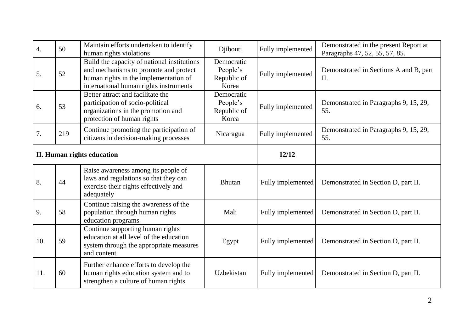| $\overline{4}$ . | 50  | Maintain efforts undertaken to identify<br>human rights violations                                                                                                      | Djibouti                                       | Fully implemented | Demonstrated in the present Report at<br>Paragraphs 47, 52, 55, 57, 85. |
|------------------|-----|-------------------------------------------------------------------------------------------------------------------------------------------------------------------------|------------------------------------------------|-------------------|-------------------------------------------------------------------------|
| 5.               | 52  | Build the capacity of national institutions<br>and mechanisms to promote and protect<br>human rights in the implementation of<br>international human rights instruments | Democratic<br>People's<br>Republic of<br>Korea | Fully implemented | Demonstrated in Sections A and B, part<br>II.                           |
| 6.               | 53  | Better attract and facilitate the<br>participation of socio-political<br>organizations in the promotion and<br>protection of human rights                               | Democratic<br>People's<br>Republic of<br>Korea | Fully implemented | Demonstrated in Paragraphs 9, 15, 29,<br>55.                            |
| 7.               | 219 | Continue promoting the participation of<br>citizens in decision-making processes                                                                                        | Nicaragua                                      | Fully implemented | Demonstrated in Paragraphs 9, 15, 29,<br>55.                            |
|                  |     | <b>II. Human rights education</b>                                                                                                                                       |                                                | 12/12             |                                                                         |
|                  |     | Raise awareness among its people of                                                                                                                                     |                                                |                   |                                                                         |
| 8.               | 44  | laws and regulations so that they can<br>exercise their rights effectively and<br>adequately                                                                            | <b>Bhutan</b>                                  | Fully implemented | Demonstrated in Section D, part II.                                     |
| 9.               | 58  | Continue raising the awareness of the<br>population through human rights<br>education programs                                                                          | Mali                                           | Fully implemented | Demonstrated in Section D, part II.                                     |
| 10.              | 59  | Continue supporting human rights<br>education at all level of the education<br>system through the appropriate measures<br>and content                                   | Egypt                                          | Fully implemented | Demonstrated in Section D, part II.                                     |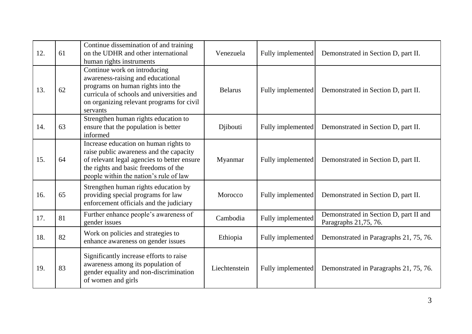| 12. | 61 | Continue dissemination of and training<br>on the UDHR and other international<br>human rights instruments                                                                                                         | Venezuela      | Fully implemented | Demonstrated in Section D, part II.                             |
|-----|----|-------------------------------------------------------------------------------------------------------------------------------------------------------------------------------------------------------------------|----------------|-------------------|-----------------------------------------------------------------|
| 13. | 62 | Continue work on introducing<br>awareness-raising and educational<br>programs on human rights into the<br>curricula of schools and universities and<br>on organizing relevant programs for civil<br>servants      | <b>Belarus</b> | Fully implemented | Demonstrated in Section D, part II.                             |
| 14. | 63 | Strengthen human rights education to<br>ensure that the population is better<br>informed                                                                                                                          | Djibouti       | Fully implemented | Demonstrated in Section D, part II.                             |
| 15. | 64 | Increase education on human rights to<br>raise public awareness and the capacity<br>of relevant legal agencies to better ensure<br>the rights and basic freedoms of the<br>people within the nation's rule of law | Myanmar        | Fully implemented | Demonstrated in Section D, part II.                             |
| 16. | 65 | Strengthen human rights education by<br>providing special programs for law<br>enforcement officials and the judiciary                                                                                             | Morocco        | Fully implemented | Demonstrated in Section D, part II.                             |
| 17. | 81 | Further enhance people's awareness of<br>gender issues                                                                                                                                                            | Cambodia       | Fully implemented | Demonstrated in Section D, part II and<br>Paragraphs 21,75, 76. |
| 18. | 82 | Work on policies and strategies to<br>enhance awareness on gender issues                                                                                                                                          | Ethiopia       | Fully implemented | Demonstrated in Paragraphs 21, 75, 76.                          |
| 19. | 83 | Significantly increase efforts to raise<br>awareness among its population of<br>gender equality and non-discrimination<br>of women and girls                                                                      | Liechtenstein  | Fully implemented | Demonstrated in Paragraphs 21, 75, 76.                          |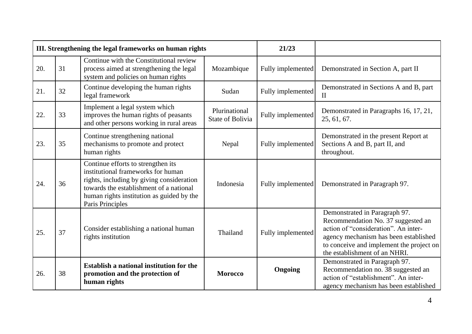|     | III. Strengthening the legal frameworks on human rights |                                                                                                                                                                                                                                   |                                          | 21/23             |                                                                                                                                                                                                                                   |
|-----|---------------------------------------------------------|-----------------------------------------------------------------------------------------------------------------------------------------------------------------------------------------------------------------------------------|------------------------------------------|-------------------|-----------------------------------------------------------------------------------------------------------------------------------------------------------------------------------------------------------------------------------|
| 20. | 31                                                      | Continue with the Constitutional review<br>process aimed at strengthening the legal<br>system and policies on human rights                                                                                                        | Mozambique                               | Fully implemented | Demonstrated in Section A, part II                                                                                                                                                                                                |
| 21. | 32                                                      | Continue developing the human rights<br>legal framework                                                                                                                                                                           | Sudan                                    | Fully implemented | Demonstrated in Sections A and B, part<br>$\mathbf{I}$                                                                                                                                                                            |
| 22. | 33                                                      | Implement a legal system which<br>improves the human rights of peasants<br>and other persons working in rural areas                                                                                                               | Plurinational<br><b>State of Bolivia</b> | Fully implemented | Demonstrated in Paragraphs 16, 17, 21,<br>25, 61, 67.                                                                                                                                                                             |
| 23. | 35                                                      | Continue strengthening national<br>mechanisms to promote and protect<br>human rights                                                                                                                                              | Nepal                                    | Fully implemented | Demonstrated in the present Report at<br>Sections A and B, part II, and<br>throughout.                                                                                                                                            |
| 24. | 36                                                      | Continue efforts to strengthen its<br>institutional frameworks for human<br>rights, including by giving consideration<br>towards the establishment of a national<br>human rights institution as guided by the<br>Paris Principles | Indonesia                                | Fully implemented | Demonstrated in Paragraph 97.                                                                                                                                                                                                     |
| 25. | 37                                                      | Consider establishing a national human<br>rights institution                                                                                                                                                                      | Thailand                                 | Fully implemented | Demonstrated in Paragraph 97.<br>Recommendation No. 37 suggested an<br>action of "consideration". An inter-<br>agency mechanism has been established<br>to conceive and implement the project on<br>the establishment of an NHRI. |
| 26. | 38                                                      | <b>Establish a national institution for the</b><br>promotion and the protection of<br>human rights                                                                                                                                | <b>Morocco</b>                           | Ongoing           | Demonstrated in Paragraph 97.<br>Recommendation no. 38 suggested an<br>action of "establishment". An inter-<br>agency mechanism has been established                                                                              |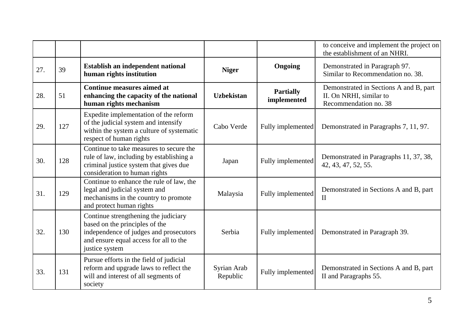|     |     |                                                                                                                                                                              |                         |                                 | to conceive and implement the project on<br>the establishment of an NHRI.                  |
|-----|-----|------------------------------------------------------------------------------------------------------------------------------------------------------------------------------|-------------------------|---------------------------------|--------------------------------------------------------------------------------------------|
| 27. | 39  | Establish an independent national<br>human rights institution                                                                                                                | <b>Niger</b>            | Ongoing                         | Demonstrated in Paragraph 97.<br>Similar to Recommendation no. 38.                         |
| 28. | 51  | <b>Continue measures aimed at</b><br>enhancing the capacity of the national<br>human rights mechanism                                                                        | <b>Uzbekistan</b>       | <b>Partially</b><br>implemented | Demonstrated in Sections A and B, part<br>II. On NRHI, similar to<br>Recommendation no. 38 |
| 29. | 127 | Expedite implementation of the reform<br>of the judicial system and intensify<br>within the system a culture of systematic<br>respect of human rights                        | Cabo Verde              | Fully implemented               | Demonstrated in Paragraphs 7, 11, 97.                                                      |
| 30. | 128 | Continue to take measures to secure the<br>rule of law, including by establishing a<br>criminal justice system that gives due<br>consideration to human rights               | Japan                   | Fully implemented               | Demonstrated in Paragraphs 11, 37, 38,<br>42, 43, 47, 52, 55.                              |
| 31. | 129 | Continue to enhance the rule of law, the<br>legal and judicial system and<br>mechanisms in the country to promote<br>and protect human rights                                | Malaysia                | Fully implemented               | Demonstrated in Sections A and B, part<br>$\mathbf{I}$                                     |
| 32. | 130 | Continue strengthening the judiciary<br>based on the principles of the<br>independence of judges and prosecutors<br>and ensure equal access for all to the<br>justice system | Serbia                  | Fully implemented               | Demonstrated in Paragraph 39.                                                              |
| 33. | 131 | Pursue efforts in the field of judicial<br>reform and upgrade laws to reflect the<br>will and interest of all segments of<br>society                                         | Syrian Arab<br>Republic | Fully implemented               | Demonstrated in Sections A and B, part<br>II and Paragraphs 55.                            |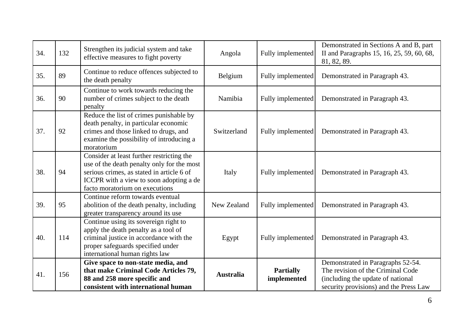| 34. | 132 | Strengthen its judicial system and take<br>effective measures to fight poverty                                                                                                                                    | Angola           | Fully implemented               | Demonstrated in Sections A and B, part<br>II and Paragraphs 15, 16, 25, 59, 60, 68,<br>81, 82, 89.                                                    |
|-----|-----|-------------------------------------------------------------------------------------------------------------------------------------------------------------------------------------------------------------------|------------------|---------------------------------|-------------------------------------------------------------------------------------------------------------------------------------------------------|
| 35. | 89  | Continue to reduce offences subjected to<br>the death penalty                                                                                                                                                     | Belgium          | Fully implemented               | Demonstrated in Paragraph 43.                                                                                                                         |
| 36. | 90  | Continue to work towards reducing the<br>number of crimes subject to the death<br>penalty                                                                                                                         | Namibia          | Fully implemented               | Demonstrated in Paragraph 43.                                                                                                                         |
| 37. | 92  | Reduce the list of crimes punishable by<br>death penalty, in particular economic<br>crimes and those linked to drugs, and<br>examine the possibility of introducing a<br>moratorium                               | Switzerland      | Fully implemented               | Demonstrated in Paragraph 43.                                                                                                                         |
| 38. | 94  | Consider at least further restricting the<br>use of the death penalty only for the most<br>serious crimes, as stated in article 6 of<br>ICCPR with a view to soon adopting a de<br>facto moratorium on executions | Italy            | Fully implemented               | Demonstrated in Paragraph 43.                                                                                                                         |
| 39. | 95  | Continue reform towards eventual<br>abolition of the death penalty, including<br>greater transparency around its use                                                                                              | New Zealand      | Fully implemented               | Demonstrated in Paragraph 43.                                                                                                                         |
| 40. | 114 | Continue using its sovereign right to<br>apply the death penalty as a tool of<br>criminal justice in accordance with the<br>proper safeguards specified under<br>international human rights law                   | Egypt            | Fully implemented               | Demonstrated in Paragraph 43.                                                                                                                         |
| 41. | 156 | Give space to non-state media, and<br>that make Criminal Code Articles 79,<br>88 and 258 more specific and<br>consistent with international human                                                                 | <b>Australia</b> | <b>Partially</b><br>implemented | Demonstrated in Paragraphs 52-54.<br>The revision of the Criminal Code<br>(including the update of national<br>security provisions) and the Press Law |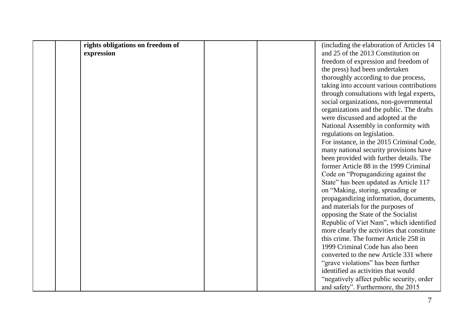| rights obligations on freedom of | (including the elaboration of Articles 14   |
|----------------------------------|---------------------------------------------|
| expression                       | and 25 of the 2013 Constitution on          |
|                                  | freedom of expression and freedom of        |
|                                  | the press) had been undertaken              |
|                                  | thoroughly according to due process,        |
|                                  | taking into account various contributions   |
|                                  | through consultations with legal experts,   |
|                                  | social organizations, non-governmental      |
|                                  | organizations and the public. The drafts    |
|                                  | were discussed and adopted at the           |
|                                  | National Assembly in conformity with        |
|                                  | regulations on legislation.                 |
|                                  | For instance, in the 2015 Criminal Code,    |
|                                  | many national security provisions have      |
|                                  | been provided with further details. The     |
|                                  | former Article 88 in the 1999 Criminal      |
|                                  | Code on "Propagandizing against the         |
|                                  | State" has been updated as Article 117      |
|                                  | on "Making, storing, spreading or           |
|                                  | propagandizing information, documents,      |
|                                  | and materials for the purposes of           |
|                                  | opposing the State of the Socialist         |
|                                  | Republic of Viet Nam", which identified     |
|                                  | more clearly the activities that constitute |
|                                  | this crime. The former Article 258 in       |
|                                  | 1999 Criminal Code has also been            |
|                                  | converted to the new Article 331 where      |
|                                  | "grave violations" has been further         |
|                                  | identified as activities that would         |
|                                  | "negatively affect public security, order   |
|                                  | and safety". Furthermore, the 2015          |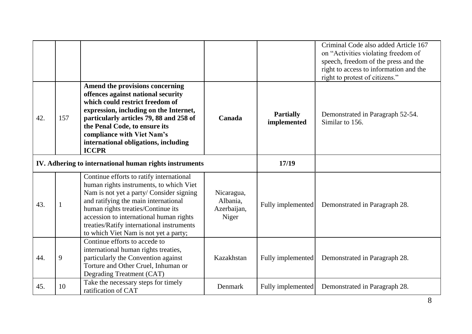|     |              |                                                                                                                                                                                                                                                                                                                                                |                                                |                                 | Criminal Code also added Article 167<br>on "Activities violating freedom of<br>speech, freedom of the press and the<br>right to access to information and the<br>right to protest of citizens." |
|-----|--------------|------------------------------------------------------------------------------------------------------------------------------------------------------------------------------------------------------------------------------------------------------------------------------------------------------------------------------------------------|------------------------------------------------|---------------------------------|-------------------------------------------------------------------------------------------------------------------------------------------------------------------------------------------------|
| 42. | 157          | Amend the provisions concerning<br>offences against national security<br>which could restrict freedom of<br>expression, including on the Internet,<br>particularly articles 79, 88 and 258 of<br>the Penal Code, to ensure its<br>compliance with Viet Nam's<br>international obligations, including<br><b>ICCPR</b>                           | Canada                                         | <b>Partially</b><br>implemented | Demonstrated in Paragraph 52-54.<br>Similar to 156.                                                                                                                                             |
|     |              | IV. Adhering to international human rights instruments                                                                                                                                                                                                                                                                                         |                                                | 17/19                           |                                                                                                                                                                                                 |
| 43. | $\mathbf{1}$ | Continue efforts to ratify international<br>human rights instruments, to which Viet<br>Nam is not yet a party/ Consider signing<br>and ratifying the main international<br>human rights treaties/Continue its<br>accession to international human rights<br>treaties/Ratify international instruments<br>to which Viet Nam is not yet a party; | Nicaragua,<br>Albania,<br>Azerbaijan,<br>Niger | Fully implemented               | Demonstrated in Paragraph 28.                                                                                                                                                                   |
| 44. | 9            | Continue efforts to accede to<br>international human rights treaties,<br>particularly the Convention against<br>Torture and Other Cruel, Inhuman or<br>Degrading Treatment (CAT)                                                                                                                                                               | Kazakhstan                                     | Fully implemented               | Demonstrated in Paragraph 28.                                                                                                                                                                   |
| 45. | 10           | Take the necessary steps for timely<br>ratification of CAT                                                                                                                                                                                                                                                                                     | Denmark                                        | Fully implemented               | Demonstrated in Paragraph 28.                                                                                                                                                                   |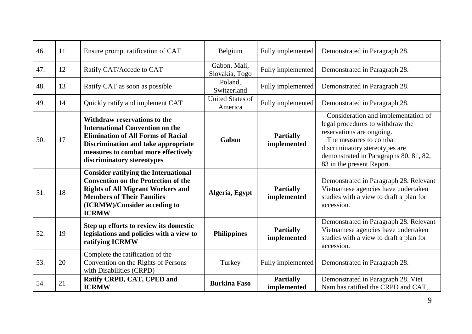| 46. | 11 | Ensure prompt ratification of CAT                                                                                                                                                                                                      | Belgium                            | Fully implemented               | Demonstrated in Paragraph 28.                                                                                                                                                                                                           |
|-----|----|----------------------------------------------------------------------------------------------------------------------------------------------------------------------------------------------------------------------------------------|------------------------------------|---------------------------------|-----------------------------------------------------------------------------------------------------------------------------------------------------------------------------------------------------------------------------------------|
| 47. | 12 | Ratify CAT/Accede to CAT                                                                                                                                                                                                               | Gabon, Mali,<br>Slovakia, Togo     | Fully implemented               | Demonstrated in Paragraph 28.                                                                                                                                                                                                           |
| 48. | 13 | Ratify CAT as soon as possible                                                                                                                                                                                                         | Poland,<br>Switzerland             | Fully implemented               | Demonstrated in Paragraph 28.                                                                                                                                                                                                           |
| 49. | 14 | Quickly ratify and implement CAT                                                                                                                                                                                                       | <b>United States of</b><br>America | Fully implemented               | Demonstrated in Paragraph 28.                                                                                                                                                                                                           |
| 50. | 17 | Withdraw reservations to the<br><b>International Convention on the</b><br><b>Elimination of All Forms of Racial</b><br><b>Discrimination and take appropriate</b><br>measures to combat more effectively<br>discriminatory stereotypes | Gabon                              | <b>Partially</b><br>implemented | Consideration and implementation of<br>legal procedures to withdraw the<br>reservations are ongoing.<br>The measures to combat<br>discriminatory stereotypes are<br>demonstrated in Paragraphs 80, 81, 82,<br>83 in the present Report. |
| 51. | 18 | <b>Consider ratifying the International</b><br><b>Convention on the Protection of the</b><br><b>Rights of All Migrant Workers and</b><br><b>Members of Their Families</b><br>(ICRMW)/Consider acceding to<br><b>ICRMW</b>              | Algeria, Egypt                     | <b>Partially</b><br>implemented | Demonstrated in Paragraph 28. Relevant<br>Vietnamese agencies have undertaken<br>studies with a view to draft a plan for<br>accession.                                                                                                  |
| 52. | 19 | Step up efforts to review its domestic<br>legislations and policies with a view to<br>ratifying ICRMW                                                                                                                                  | <b>Philippines</b>                 | <b>Partially</b><br>implemented | Demonstrated in Paragraph 28. Relevant<br>Vietnamese agencies have undertaken<br>studies with a view to draft a plan for<br>accession.                                                                                                  |
| 53. | 20 | Complete the ratification of the<br>Convention on the Rights of Persons<br>with Disabilities (CRPD)                                                                                                                                    | Turkey                             | Fully implemented               | Demonstrated in Paragraph 28.                                                                                                                                                                                                           |
| 54. | 21 | Ratify CRPD, CAT, CPED and<br><b>ICRMW</b>                                                                                                                                                                                             | <b>Burkina Faso</b>                | <b>Partially</b><br>implemented | Demonstrated in Paragraph 28. Viet<br>Nam has ratified the CRPD and CAT,                                                                                                                                                                |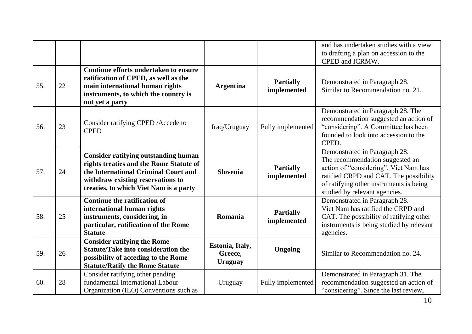|     |    |                                                                                                                                                                                                               |                                              |                                 | and has undertaken studies with a view<br>to drafting a plan on accession to the<br>CPED and ICRMW.                                                                                                                             |
|-----|----|---------------------------------------------------------------------------------------------------------------------------------------------------------------------------------------------------------------|----------------------------------------------|---------------------------------|---------------------------------------------------------------------------------------------------------------------------------------------------------------------------------------------------------------------------------|
| 55. | 22 | Continue efforts undertaken to ensure<br>ratification of CPED, as well as the<br>main international human rights<br>instruments, to which the country is<br>not yet a party                                   | <b>Argentina</b>                             | <b>Partially</b><br>implemented | Demonstrated in Paragraph 28.<br>Similar to Recommendation no. 21.                                                                                                                                                              |
| 56. | 23 | Consider ratifying CPED / Accede to<br><b>CPED</b>                                                                                                                                                            | Iraq/Uruguay                                 | Fully implemented               | Demonstrated in Paragraph 28. The<br>recommendation suggested an action of<br>"considering". A Committee has been<br>founded to look into accession to the<br>CPED.                                                             |
| 57. | 24 | <b>Consider ratifying outstanding human</b><br>rights treaties and the Rome Statute of<br>the International Criminal Court and<br>withdraw existing reservations to<br>treaties, to which Viet Nam is a party | <b>Slovenia</b>                              | <b>Partially</b><br>implemented | Demonstrated in Paragraph 28.<br>The recommendation suggested an<br>action of "considering". Viet Nam has<br>ratified CRPD and CAT. The possibility<br>of ratifying other instruments is being<br>studied by relevant agencies. |
| 58. | 25 | <b>Continue the ratification of</b><br>international human rights<br>instruments, considering, in<br>particular, ratification of the Rome<br><b>Statute</b>                                                   | Romania                                      | <b>Partially</b><br>implemented | Demonstrated in Paragraph 28.<br>Viet Nam has ratified the CRPD and<br>CAT. The possibility of ratifying other<br>instruments is being studied by relevant<br>agencies.                                                         |
| 59. | 26 | <b>Consider ratifying the Rome</b><br><b>Statute/Take into consideration the</b><br>possibility of acceding to the Rome<br><b>Statute/Ratify the Rome Statute</b>                                             | Estonia, Italy,<br>Greece,<br><b>Uruguay</b> | <b>Ongoing</b>                  | Similar to Recommendation no. 24.                                                                                                                                                                                               |
| 60. | 28 | Consider ratifying other pending<br>fundamental International Labour<br>Organization (ILO) Conventions such as                                                                                                | Uruguay                                      | Fully implemented               | Demonstrated in Paragraph 31. The<br>recommendation suggested an action of<br>"considering". Since the last review,                                                                                                             |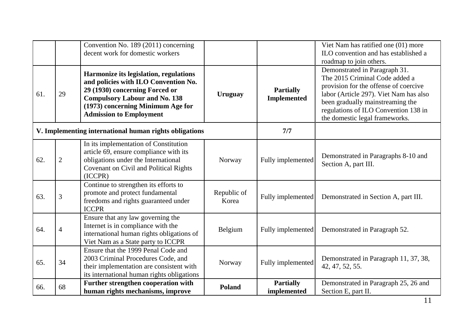|     |                | Convention No. 189 (2011) concerning<br>decent work for domestic workers                                                                                                                                                        |                      |                                        | Viet Nam has ratified one (01) more<br>ILO convention and has established a<br>roadmap to join others.                                                                                                                                                           |
|-----|----------------|---------------------------------------------------------------------------------------------------------------------------------------------------------------------------------------------------------------------------------|----------------------|----------------------------------------|------------------------------------------------------------------------------------------------------------------------------------------------------------------------------------------------------------------------------------------------------------------|
| 61. | 29             | Harmonize its legislation, regulations<br>and policies with ILO Convention No.<br>29 (1930) concerning Forced or<br><b>Compulsory Labour and No. 138</b><br>(1973) concerning Minimum Age for<br><b>Admission to Employment</b> | <b>Uruguay</b>       | <b>Partially</b><br><b>Implemented</b> | Demonstrated in Paragraph 31.<br>The 2015 Criminal Code added a<br>provision for the offense of coercive<br>labor (Article 297). Viet Nam has also<br>been gradually mainstreaming the<br>regulations of ILO Convention 138 in<br>the domestic legal frameworks. |
|     |                | V. Implementing international human rights obligations                                                                                                                                                                          |                      | 7/7                                    |                                                                                                                                                                                                                                                                  |
| 62. | $\overline{2}$ | In its implementation of Constitution<br>article 69, ensure compliance with its<br>obligations under the International<br>Covenant on Civil and Political Rights<br>(ICCPR)                                                     | Norway               | Fully implemented                      | Demonstrated in Paragraphs 8-10 and<br>Section A, part III.                                                                                                                                                                                                      |
| 63. | 3              | Continue to strengthen its efforts to<br>promote and protect fundamental<br>freedoms and rights guaranteed under<br><b>ICCPR</b>                                                                                                | Republic of<br>Korea | Fully implemented                      | Demonstrated in Section A, part III.                                                                                                                                                                                                                             |
| 64. | $\overline{4}$ | Ensure that any law governing the<br>Internet is in compliance with the<br>international human rights obligations of<br>Viet Nam as a State party to ICCPR                                                                      | Belgium              | Fully implemented                      | Demonstrated in Paragraph 52.                                                                                                                                                                                                                                    |
| 65. | 34             | Ensure that the 1999 Penal Code and<br>2003 Criminal Procedures Code, and<br>their implementation are consistent with<br>its international human rights obligations                                                             | Norway               | Fully implemented                      | Demonstrated in Paragraph 11, 37, 38,<br>42, 47, 52, 55.                                                                                                                                                                                                         |
| 66. | 68             | Further strengthen cooperation with<br>human rights mechanisms, improve                                                                                                                                                         | <b>Poland</b>        | <b>Partially</b><br>implemented        | Demonstrated in Paragraph 25, 26 and<br>Section E, part II.                                                                                                                                                                                                      |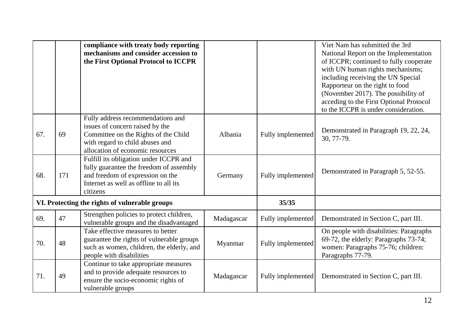|     |     | compliance with treaty body reporting<br>mechanisms and consider accession to<br>the First Optional Protocol to ICCPR                                                               |            |                   | Viet Nam has submitted the 3rd<br>National Report on the Implementation<br>of ICCPR; continued to fully cooperate<br>with UN human rights mechanisms;<br>including receiving the UN Special<br>Rapporteur on the right to food<br>(November 2017). The possibility of<br>acceding to the First Optional Protocol<br>to the ICCPR is under consideration. |
|-----|-----|-------------------------------------------------------------------------------------------------------------------------------------------------------------------------------------|------------|-------------------|----------------------------------------------------------------------------------------------------------------------------------------------------------------------------------------------------------------------------------------------------------------------------------------------------------------------------------------------------------|
| 67. | 69  | Fully address recommendations and<br>issues of concern raised by the<br>Committee on the Rights of the Child<br>with regard to child abuses and<br>allocation of economic resources | Albania    | Fully implemented | Demonstrated in Paragraph 19, 22, 24,<br>30, 77-79.                                                                                                                                                                                                                                                                                                      |
| 68. | 171 | Fulfill its obligation under ICCPR and<br>fully guarantee the freedom of assembly<br>and freedom of expression on the<br>Internet as well as offline to all its<br>citizens         | Germany    | Fully implemented | Demonstrated in Paragraph 5, 52-55.                                                                                                                                                                                                                                                                                                                      |
|     |     | VI. Protecting the rights of vulnerable groups                                                                                                                                      |            | 35/35             |                                                                                                                                                                                                                                                                                                                                                          |
| 69. | 47  | Strengthen policies to protect children,<br>vulnerable groups and the disadvantaged                                                                                                 | Madagascar | Fully implemented | Demonstrated in Section C, part III.                                                                                                                                                                                                                                                                                                                     |
| 70. | 48  | Take effective measures to better<br>guarantee the rights of vulnerable groups<br>such as women, children, the elderly, and<br>people with disabilities                             | Myanmar    | Fully implemented | On people with disabilities: Paragraphs<br>69-72, the elderly: Paragraphs 73-74;<br>women: Paragraphs 75-76; children:<br>Paragraphs 77-79.                                                                                                                                                                                                              |
| 71. | 49  | Continue to take appropriate measures<br>and to provide adequate resources to<br>ensure the socio-economic rights of<br>vulnerable groups                                           | Madagascar | Fully implemented | Demonstrated in Section C, part III.                                                                                                                                                                                                                                                                                                                     |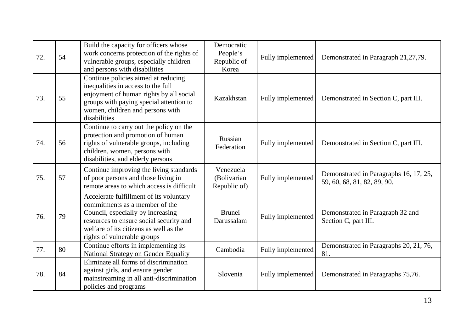| 72. | 54 | Build the capacity for officers whose<br>work concerns protection of the rights of<br>vulnerable groups, especially children<br>and persons with disabilities                                                                      | Democratic<br>People's<br>Republic of<br>Korea | Fully implemented | Demonstrated in Paragraph 21,27,79.                                   |
|-----|----|------------------------------------------------------------------------------------------------------------------------------------------------------------------------------------------------------------------------------------|------------------------------------------------|-------------------|-----------------------------------------------------------------------|
| 73. | 55 | Continue policies aimed at reducing<br>inequalities in access to the full<br>enjoyment of human rights by all social<br>groups with paying special attention to<br>women, children and persons with<br>disabilities                | Kazakhstan                                     | Fully implemented | Demonstrated in Section C, part III.                                  |
| 74. | 56 | Continue to carry out the policy on the<br>protection and promotion of human<br>rights of vulnerable groups, including<br>children, women, persons with<br>disabilities, and elderly persons                                       | Russian<br>Federation                          | Fully implemented | Demonstrated in Section C, part III.                                  |
| 75. | 57 | Continue improving the living standards<br>of poor persons and those living in<br>remote areas to which access is difficult                                                                                                        | Venezuela<br>(Bolivarian<br>Republic of)       | Fully implemented | Demonstrated in Paragraphs 16, 17, 25,<br>59, 60, 68, 81, 82, 89, 90. |
| 76. | 79 | Accelerate fulfillment of its voluntary<br>commitments as a member of the<br>Council, especially by increasing<br>resources to ensure social security and<br>welfare of its citizens as well as the<br>rights of vulnerable groups | <b>Brunei</b><br>Darussalam                    | Fully implemented | Demonstrated in Paragraph 32 and<br>Section C, part III.              |
| 77. | 80 | Continue efforts in implementing its<br>National Strategy on Gender Equality                                                                                                                                                       | Cambodia                                       | Fully implemented | Demonstrated in Paragraphs 20, 21, 76,<br>81.                         |
| 78. | 84 | Eliminate all forms of discrimination<br>against girls, and ensure gender<br>mainstreaming in all anti-discrimination<br>policies and programs                                                                                     | Slovenia                                       | Fully implemented | Demonstrated in Paragraphs 75,76.                                     |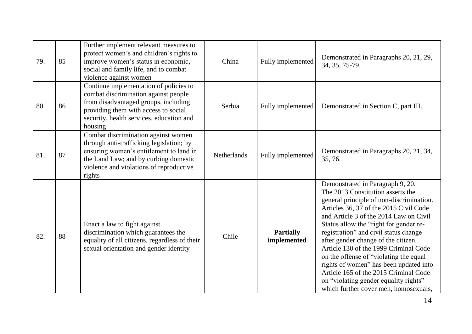| 79. | 85 | Further implement relevant measures to<br>protect women's and children's rights to<br>improve women's status in economic,<br>social and family life, and to combat<br>violence against women                             | China              | Fully implemented               | Demonstrated in Paragraphs 20, 21, 29,<br>34, 35, 75-79.                                                                                                                                                                                                                                                                                                                                                                                                                                                                                                                                |
|-----|----|--------------------------------------------------------------------------------------------------------------------------------------------------------------------------------------------------------------------------|--------------------|---------------------------------|-----------------------------------------------------------------------------------------------------------------------------------------------------------------------------------------------------------------------------------------------------------------------------------------------------------------------------------------------------------------------------------------------------------------------------------------------------------------------------------------------------------------------------------------------------------------------------------------|
| 80. | 86 | Continue implementation of policies to<br>combat discrimination against people<br>from disadvantaged groups, including<br>providing them with access to social<br>security, health services, education and<br>housing    | Serbia             | Fully implemented               | Demonstrated in Section C, part III.                                                                                                                                                                                                                                                                                                                                                                                                                                                                                                                                                    |
| 81. | 87 | Combat discrimination against women<br>through anti-trafficking legislation; by<br>ensuring women's entitlement to land in<br>the Land Law; and by curbing domestic<br>violence and violations of reproductive<br>rights | <b>Netherlands</b> | Fully implemented               | Demonstrated in Paragraphs 20, 21, 34,<br>35, 76.                                                                                                                                                                                                                                                                                                                                                                                                                                                                                                                                       |
| 82. | 88 | Enact a law to fight against<br>discrimination which guarantees the<br>equality of all citizens, regardless of their<br>sexual orientation and gender identity                                                           | Chile              | <b>Partially</b><br>implemented | Demonstrated in Paragraph 9, 20.<br>The 2013 Constitution asserts the<br>general principle of non-discrimination.<br>Articles 36, 37 of the 2015 Civil Code<br>and Article 3 of the 2014 Law on Civil<br>Status allow the "right for gender re-<br>registration" and civil status change<br>after gender change of the citizen.<br>Article 130 of the 1999 Criminal Code<br>on the offense of "violating the equal<br>rights of women" has been updated into<br>Article 165 of the 2015 Criminal Code<br>on "violating gender equality rights"<br>which further cover men, homosexuals, |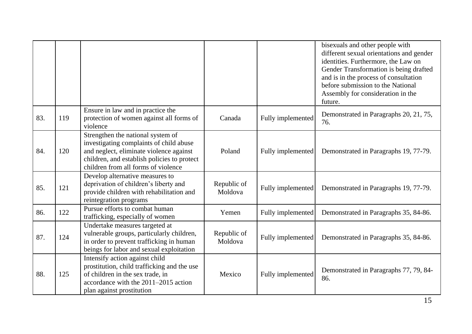|     |     |                                                                                                                                                                                                               |                        |                   | bisexuals and other people with<br>different sexual orientations and gender<br>identities. Furthermore, the Law on<br>Gender Transformation is being drafted<br>and is in the process of consultation<br>before submission to the National<br>Assembly for consideration in the<br>future. |
|-----|-----|---------------------------------------------------------------------------------------------------------------------------------------------------------------------------------------------------------------|------------------------|-------------------|--------------------------------------------------------------------------------------------------------------------------------------------------------------------------------------------------------------------------------------------------------------------------------------------|
| 83. | 119 | Ensure in law and in practice the<br>protection of women against all forms of<br>violence                                                                                                                     | Canada                 | Fully implemented | Demonstrated in Paragraphs 20, 21, 75,<br>76.                                                                                                                                                                                                                                              |
| 84. | 120 | Strengthen the national system of<br>investigating complaints of child abuse<br>and neglect, eliminate violence against<br>children, and establish policies to protect<br>children from all forms of violence | Poland                 | Fully implemented | Demonstrated in Paragraphs 19, 77-79.                                                                                                                                                                                                                                                      |
| 85. | 121 | Develop alternative measures to<br>deprivation of children's liberty and<br>provide children with rehabilitation and<br>reintegration programs                                                                | Republic of<br>Moldova | Fully implemented | Demonstrated in Paragraphs 19, 77-79.                                                                                                                                                                                                                                                      |
| 86. | 122 | Pursue efforts to combat human<br>trafficking, especially of women                                                                                                                                            | Yemen                  | Fully implemented | Demonstrated in Paragraphs 35, 84-86.                                                                                                                                                                                                                                                      |
| 87. | 124 | Undertake measures targeted at<br>vulnerable groups, particularly children,<br>in order to prevent trafficking in human<br>beings for labor and sexual exploitation                                           | Republic of<br>Moldova | Fully implemented | Demonstrated in Paragraphs 35, 84-86.                                                                                                                                                                                                                                                      |
| 88. | 125 | Intensify action against child<br>prostitution, child trafficking and the use<br>of children in the sex trade, in<br>accordance with the 2011–2015 action<br>plan against prostitution                        | Mexico                 | Fully implemented | Demonstrated in Paragraphs 77, 79, 84-<br>86.                                                                                                                                                                                                                                              |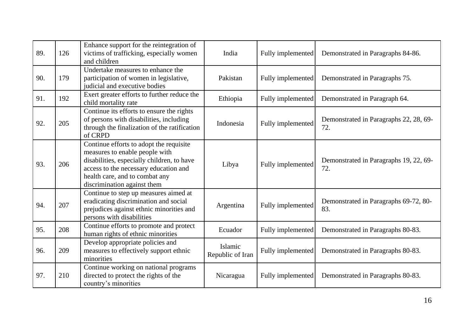| 89. | 126 | Enhance support for the reintegration of<br>victims of trafficking, especially women<br>and children                                                                                                                              | India                       | Fully implemented | Demonstrated in Paragraphs 84-86.             |
|-----|-----|-----------------------------------------------------------------------------------------------------------------------------------------------------------------------------------------------------------------------------------|-----------------------------|-------------------|-----------------------------------------------|
| 90. | 179 | Undertake measures to enhance the<br>participation of women in legislative,<br>judicial and executive bodies                                                                                                                      | Pakistan                    | Fully implemented | Demonstrated in Paragraphs 75.                |
| 91. | 192 | Exert greater efforts to further reduce the<br>child mortality rate                                                                                                                                                               | Ethiopia                    | Fully implemented | Demonstrated in Paragraph 64.                 |
| 92. | 205 | Continue its efforts to ensure the rights<br>of persons with disabilities, including<br>through the finalization of the ratification<br>of CRPD                                                                                   | Indonesia                   | Fully implemented | Demonstrated in Paragraphs 22, 28, 69-<br>72. |
| 93. | 206 | Continue efforts to adopt the requisite<br>measures to enable people with<br>disabilities, especially children, to have<br>access to the necessary education and<br>health care, and to combat any<br>discrimination against them | Libya                       | Fully implemented | Demonstrated in Paragraphs 19, 22, 69-<br>72. |
| 94. | 207 | Continue to step up measures aimed at<br>eradicating discrimination and social<br>prejudices against ethnic minorities and<br>persons with disabilities                                                                           | Argentina                   | Fully implemented | Demonstrated in Paragraphs 69-72, 80-<br>83.  |
| 95. | 208 | Continue efforts to promote and protect<br>human rights of ethnic minorities                                                                                                                                                      | Ecuador                     | Fully implemented | Demonstrated in Paragraphs 80-83.             |
| 96. | 209 | Develop appropriate policies and<br>measures to effectively support ethnic<br>minorities                                                                                                                                          | Islamic<br>Republic of Iran | Fully implemented | Demonstrated in Paragraphs 80-83.             |
| 97. | 210 | Continue working on national programs<br>directed to protect the rights of the<br>country's minorities                                                                                                                            | Nicaragua                   | Fully implemented | Demonstrated in Paragraphs 80-83.             |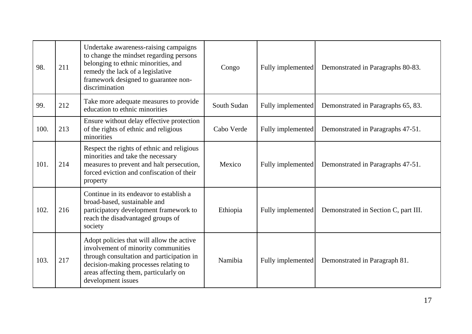| 98.  | 211 | Undertake awareness-raising campaigns<br>to change the mindset regarding persons<br>belonging to ethnic minorities, and<br>remedy the lack of a legislative<br>framework designed to guarantee non-<br>discrimination                 | Congo       | Fully implemented | Demonstrated in Paragraphs 80-83.    |
|------|-----|---------------------------------------------------------------------------------------------------------------------------------------------------------------------------------------------------------------------------------------|-------------|-------------------|--------------------------------------|
| 99.  | 212 | Take more adequate measures to provide<br>education to ethnic minorities                                                                                                                                                              | South Sudan | Fully implemented | Demonstrated in Paragraphs 65, 83.   |
| 100. | 213 | Ensure without delay effective protection<br>of the rights of ethnic and religious<br>minorities                                                                                                                                      | Cabo Verde  | Fully implemented | Demonstrated in Paragraphs 47-51.    |
| 101. | 214 | Respect the rights of ethnic and religious<br>minorities and take the necessary<br>measures to prevent and halt persecution,<br>forced eviction and confiscation of their<br>property                                                 | Mexico      | Fully implemented | Demonstrated in Paragraphs 47-51.    |
| 102. | 216 | Continue in its endeavor to establish a<br>broad-based, sustainable and<br>participatory development framework to<br>reach the disadvantaged groups of<br>society                                                                     | Ethiopia    | Fully implemented | Demonstrated in Section C, part III. |
| 103. | 217 | Adopt policies that will allow the active<br>involvement of minority communities<br>through consultation and participation in<br>decision-making processes relating to<br>areas affecting them, particularly on<br>development issues | Namibia     | Fully implemented | Demonstrated in Paragraph 81.        |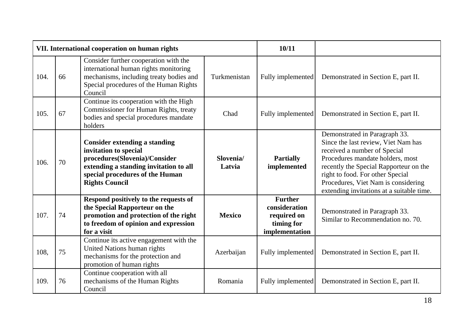|      |    | VII. International cooperation on human rights                                                                                                                                                       |                     | 10/11                                                                          |                                                                                                                                                                                                                                                                                                            |
|------|----|------------------------------------------------------------------------------------------------------------------------------------------------------------------------------------------------------|---------------------|--------------------------------------------------------------------------------|------------------------------------------------------------------------------------------------------------------------------------------------------------------------------------------------------------------------------------------------------------------------------------------------------------|
| 104. | 66 | Consider further cooperation with the<br>international human rights monitoring<br>mechanisms, including treaty bodies and<br>Special procedures of the Human Rights<br>Council                       | Turkmenistan        | Fully implemented                                                              | Demonstrated in Section E, part II.                                                                                                                                                                                                                                                                        |
| 105. | 67 | Continue its cooperation with the High<br>Commissioner for Human Rights, treaty<br>bodies and special procedures mandate<br>holders                                                                  | Chad                | Fully implemented                                                              | Demonstrated in Section E, part II.                                                                                                                                                                                                                                                                        |
| 106. | 70 | <b>Consider extending a standing</b><br>invitation to special<br>procedures(Slovenia)/Consider<br>extending a standing invitation to all<br>special procedures of the Human<br><b>Rights Council</b> | Slovenia/<br>Latvia | <b>Partially</b><br>implemented                                                | Demonstrated in Paragraph 33.<br>Since the last review, Viet Nam has<br>received a number of Special<br>Procedures mandate holders, most<br>recently the Special Rapporteur on the<br>right to food. For other Special<br>Procedures, Viet Nam is considering<br>extending invitations at a suitable time. |
| 107. | 74 | Respond positively to the requests of<br>the Special Rapporteur on the<br>promotion and protection of the right<br>to freedom of opinion and expression<br>for a visit                               | <b>Mexico</b>       | <b>Further</b><br>consideration<br>required on<br>timing for<br>implementation | Demonstrated in Paragraph 33.<br>Similar to Recommendation no. 70.                                                                                                                                                                                                                                         |
| 108, | 75 | Continue its active engagement with the<br>United Nations human rights<br>mechanisms for the protection and<br>promotion of human rights                                                             | Azerbaijan          | Fully implemented                                                              | Demonstrated in Section E, part II.                                                                                                                                                                                                                                                                        |
| 109. | 76 | Continue cooperation with all<br>mechanisms of the Human Rights<br>Council                                                                                                                           | Romania             | Fully implemented                                                              | Demonstrated in Section E, part II.                                                                                                                                                                                                                                                                        |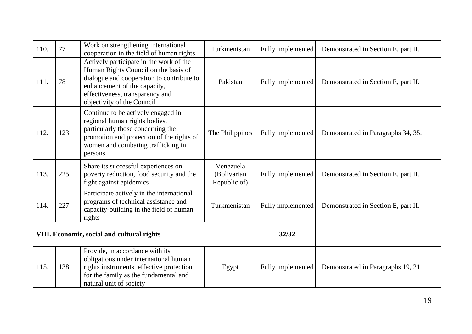| 110.                                       | 77  | Work on strengthening international<br>cooperation in the field of human rights                                                                                                                                               | Turkmenistan                             | Fully implemented | Demonstrated in Section E, part II. |
|--------------------------------------------|-----|-------------------------------------------------------------------------------------------------------------------------------------------------------------------------------------------------------------------------------|------------------------------------------|-------------------|-------------------------------------|
| 111.                                       | 78  | Actively participate in the work of the<br>Human Rights Council on the basis of<br>dialogue and cooperation to contribute to<br>enhancement of the capacity,<br>effectiveness, transparency and<br>objectivity of the Council | Pakistan                                 | Fully implemented | Demonstrated in Section E, part II. |
| 112.                                       | 123 | Continue to be actively engaged in<br>regional human rights bodies,<br>particularly those concerning the<br>promotion and protection of the rights of<br>women and combating trafficking in<br>persons                        | The Philippines                          | Fully implemented | Demonstrated in Paragraphs 34, 35.  |
| 113.                                       | 225 | Share its successful experiences on<br>poverty reduction, food security and the<br>fight against epidemics                                                                                                                    | Venezuela<br>(Bolivarian<br>Republic of) | Fully implemented | Demonstrated in Section E, part II. |
| 114.                                       | 227 | Participate actively in the international<br>programs of technical assistance and<br>capacity-building in the field of human<br>rights                                                                                        | Turkmenistan                             | Fully implemented | Demonstrated in Section E, part II. |
| VIII. Economic, social and cultural rights |     |                                                                                                                                                                                                                               | 32/32                                    |                   |                                     |
| 115.                                       | 138 | Provide, in accordance with its<br>obligations under international human<br>rights instruments, effective protection<br>for the family as the fundamental and<br>natural unit of society                                      | Egypt                                    | Fully implemented | Demonstrated in Paragraphs 19, 21.  |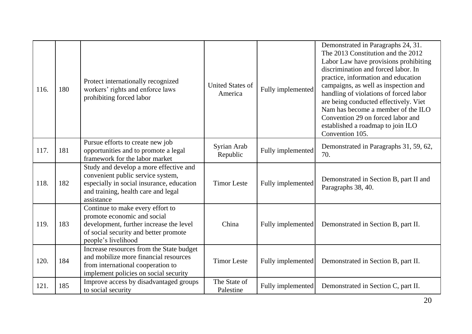| 116. | 180 | Protect internationally recognized<br>workers' rights and enforce laws<br>prohibiting forced labor                                                                            | <b>United States of</b><br>America | Fully implemented | Demonstrated in Paragraphs 24, 31.<br>The 2013 Constitution and the 2012<br>Labor Law have provisions prohibiting<br>discrimination and forced labor. In<br>practice, information and education<br>campaigns, as well as inspection and<br>handling of violations of forced labor<br>are being conducted effectively. Viet<br>Nam has become a member of the ILO<br>Convention 29 on forced labor and<br>established a roadmap to join ILO<br>Convention 105. |
|------|-----|-------------------------------------------------------------------------------------------------------------------------------------------------------------------------------|------------------------------------|-------------------|---------------------------------------------------------------------------------------------------------------------------------------------------------------------------------------------------------------------------------------------------------------------------------------------------------------------------------------------------------------------------------------------------------------------------------------------------------------|
| 117. | 181 | Pursue efforts to create new job<br>opportunities and to promote a legal<br>framework for the labor market                                                                    | Syrian Arab<br>Republic            | Fully implemented | Demonstrated in Paragraphs 31, 59, 62,<br>70.                                                                                                                                                                                                                                                                                                                                                                                                                 |
| 118. | 182 | Study and develop a more effective and<br>convenient public service system,<br>especially in social insurance, education<br>and training, health care and legal<br>assistance | <b>Timor Leste</b>                 | Fully implemented | Demonstrated in Section B, part II and<br>Paragraphs 38, 40.                                                                                                                                                                                                                                                                                                                                                                                                  |
| 119. | 183 | Continue to make every effort to<br>promote economic and social<br>development, further increase the level<br>of social security and better promote<br>people's livelihood    | China                              | Fully implemented | Demonstrated in Section B, part II.                                                                                                                                                                                                                                                                                                                                                                                                                           |
| 120. | 184 | Increase resources from the State budget<br>and mobilize more financial resources<br>from international cooperation to<br>implement policies on social security               | <b>Timor Leste</b>                 | Fully implemented | Demonstrated in Section B, part II.                                                                                                                                                                                                                                                                                                                                                                                                                           |
| 121. | 185 | Improve access by disadvantaged groups<br>to social security                                                                                                                  | The State of<br>Palestine          | Fully implemented | Demonstrated in Section C, part II.                                                                                                                                                                                                                                                                                                                                                                                                                           |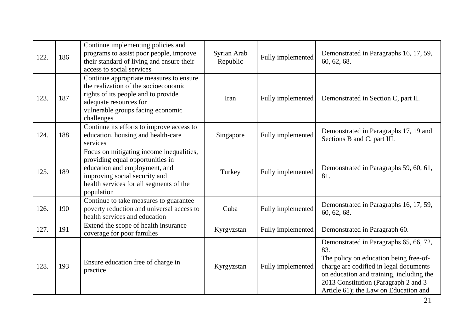| 122. | 186 | Continue implementing policies and<br>programs to assist poor people, improve<br>their standard of living and ensure their<br>access to social services                                                 | Syrian Arab<br>Republic | Fully implemented | Demonstrated in Paragraphs 16, 17, 59,<br>60, 62, 68.                                                                                                                                                                                                          |
|------|-----|---------------------------------------------------------------------------------------------------------------------------------------------------------------------------------------------------------|-------------------------|-------------------|----------------------------------------------------------------------------------------------------------------------------------------------------------------------------------------------------------------------------------------------------------------|
| 123. | 187 | Continue appropriate measures to ensure<br>the realization of the socioeconomic<br>rights of its people and to provide<br>adequate resources for<br>vulnerable groups facing economic<br>challenges     | Iran                    | Fully implemented | Demonstrated in Section C, part II.                                                                                                                                                                                                                            |
| 124. | 188 | Continue its efforts to improve access to<br>education, housing and health-care<br>services                                                                                                             | Singapore               | Fully implemented | Demonstrated in Paragraphs 17, 19 and<br>Sections B and C, part III.                                                                                                                                                                                           |
| 125. | 189 | Focus on mitigating income inequalities,<br>providing equal opportunities in<br>education and employment, and<br>improving social security and<br>health services for all segments of the<br>population | Turkey                  | Fully implemented | Demonstrated in Paragraphs 59, 60, 61,<br>81.                                                                                                                                                                                                                  |
| 126. | 190 | Continue to take measures to guarantee<br>poverty reduction and universal access to<br>health services and education                                                                                    | Cuba                    | Fully implemented | Demonstrated in Paragraphs 16, 17, 59,<br>60, 62, 68.                                                                                                                                                                                                          |
| 127. | 191 | Extend the scope of health insurance<br>coverage for poor families                                                                                                                                      | Kyrgyzstan              | Fully implemented | Demonstrated in Paragraph 60.                                                                                                                                                                                                                                  |
| 128. | 193 | Ensure education free of charge in<br>practice                                                                                                                                                          | Kyrgyzstan              | Fully implemented | Demonstrated in Paragraphs 65, 66, 72,<br>83.<br>The policy on education being free-of-<br>charge are codified in legal documents<br>on education and training, including the<br>2013 Constitution (Paragraph 2 and 3<br>Article 61); the Law on Education and |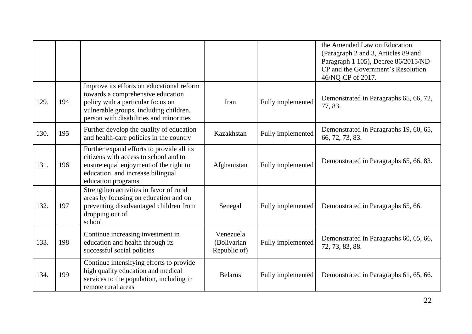|      |     |                                                                                                                                                                                                          |                                          |                   | the Amended Law on Education<br>(Paragraph 2 and 3, Articles 89 and<br>Paragraph 1 105), Decree 86/2015/ND-<br>CP and the Government's Resolution<br>46/NQ-CP of 2017. |
|------|-----|----------------------------------------------------------------------------------------------------------------------------------------------------------------------------------------------------------|------------------------------------------|-------------------|------------------------------------------------------------------------------------------------------------------------------------------------------------------------|
| 129. | 194 | Improve its efforts on educational reform<br>towards a comprehensive education<br>policy with a particular focus on<br>vulnerable groups, including children,<br>person with disabilities and minorities | Iran                                     | Fully implemented | Demonstrated in Paragraphs 65, 66, 72,<br>77, 83.                                                                                                                      |
| 130. | 195 | Further develop the quality of education<br>and health-care policies in the country                                                                                                                      | Kazakhstan                               | Fully implemented | Demonstrated in Paragraphs 19, 60, 65,<br>66, 72, 73, 83.                                                                                                              |
| 131. | 196 | Further expand efforts to provide all its<br>citizens with access to school and to<br>ensure equal enjoyment of the right to<br>education, and increase bilingual<br>education programs                  | Afghanistan                              | Fully implemented | Demonstrated in Paragraphs 65, 66, 83.                                                                                                                                 |
| 132. | 197 | Strengthen activities in favor of rural<br>areas by focusing on education and on<br>preventing disadvantaged children from<br>dropping out of<br>school                                                  | Senegal                                  | Fully implemented | Demonstrated in Paragraphs 65, 66.                                                                                                                                     |
| 133. | 198 | Continue increasing investment in<br>education and health through its<br>successful social policies                                                                                                      | Venezuela<br>(Bolivarian<br>Republic of) | Fully implemented | Demonstrated in Paragraphs 60, 65, 66,<br>72, 73, 83, 88.                                                                                                              |
| 134. | 199 | Continue intensifying efforts to provide<br>high quality education and medical<br>services to the population, including in<br>remote rural areas                                                         | <b>Belarus</b>                           | Fully implemented | Demonstrated in Paragraphs 61, 65, 66.                                                                                                                                 |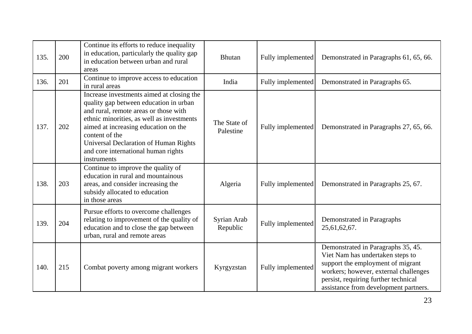| 135. | 200 | Continue its efforts to reduce inequality<br>in education, particularly the quality gap<br>in education between urban and rural<br>areas                                                                                                                                                                                                  | <b>Bhutan</b>             | Fully implemented | Demonstrated in Paragraphs 61, 65, 66.                                                                                                                                                                                                |
|------|-----|-------------------------------------------------------------------------------------------------------------------------------------------------------------------------------------------------------------------------------------------------------------------------------------------------------------------------------------------|---------------------------|-------------------|---------------------------------------------------------------------------------------------------------------------------------------------------------------------------------------------------------------------------------------|
| 136. | 201 | Continue to improve access to education<br>in rural areas                                                                                                                                                                                                                                                                                 | India                     | Fully implemented | Demonstrated in Paragraphs 65.                                                                                                                                                                                                        |
| 137. | 202 | Increase investments aimed at closing the<br>quality gap between education in urban<br>and rural, remote areas or those with<br>ethnic minorities, as well as investments<br>aimed at increasing education on the<br>content of the<br><b>Universal Declaration of Human Rights</b><br>and core international human rights<br>instruments | The State of<br>Palestine | Fully implemented | Demonstrated in Paragraphs 27, 65, 66.                                                                                                                                                                                                |
| 138. | 203 | Continue to improve the quality of<br>education in rural and mountainous<br>areas, and consider increasing the<br>subsidy allocated to education<br>in those areas                                                                                                                                                                        | Algeria                   | Fully implemented | Demonstrated in Paragraphs 25, 67.                                                                                                                                                                                                    |
| 139. | 204 | Pursue efforts to overcome challenges<br>relating to improvement of the quality of<br>education and to close the gap between<br>urban, rural and remote areas                                                                                                                                                                             | Syrian Arab<br>Republic   | Fully implemented | Demonstrated in Paragraphs<br>25,61,62,67.                                                                                                                                                                                            |
| 140. | 215 | Combat poverty among migrant workers                                                                                                                                                                                                                                                                                                      | Kyrgyzstan                | Fully implemented | Demonstrated in Paragraphs 35, 45.<br>Viet Nam has undertaken steps to<br>support the employment of migrant<br>workers; however, external challenges<br>persist, requiring further technical<br>assistance from development partners. |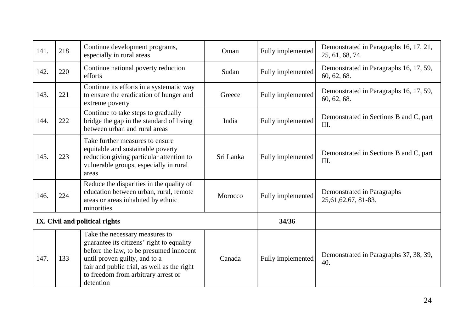| 141.                           | 218 | Continue development programs,<br>especially in rural areas                                                                                                                                                                                                | Oman      | Fully implemented | Demonstrated in Paragraphs 16, 17, 21,<br>25, 61, 68, 74. |
|--------------------------------|-----|------------------------------------------------------------------------------------------------------------------------------------------------------------------------------------------------------------------------------------------------------------|-----------|-------------------|-----------------------------------------------------------|
| 142.                           | 220 | Continue national poverty reduction<br>efforts                                                                                                                                                                                                             | Sudan     | Fully implemented | Demonstrated in Paragraphs 16, 17, 59,<br>60, 62, 68.     |
| 143.                           | 221 | Continue its efforts in a systematic way<br>to ensure the eradication of hunger and<br>extreme poverty                                                                                                                                                     | Greece    | Fully implemented | Demonstrated in Paragraphs 16, 17, 59,<br>60, 62, 68.     |
| 144.                           | 222 | Continue to take steps to gradually<br>bridge the gap in the standard of living<br>between urban and rural areas                                                                                                                                           | India     | Fully implemented | Demonstrated in Sections B and C, part<br>III.            |
| 145.                           | 223 | Take further measures to ensure<br>equitable and sustainable poverty<br>reduction giving particular attention to<br>vulnerable groups, especially in rural<br>areas                                                                                        | Sri Lanka | Fully implemented | Demonstrated in Sections B and C, part<br>III.            |
| 146.                           | 224 | Reduce the disparities in the quality of<br>education between urban, rural, remote<br>areas or areas inhabited by ethnic<br>minorities                                                                                                                     | Morocco   | Fully implemented | Demonstrated in Paragraphs<br>25,61,62,67, 81-83.         |
| IX. Civil and political rights |     |                                                                                                                                                                                                                                                            |           | 34/36             |                                                           |
| 147.                           | 133 | Take the necessary measures to<br>guarantee its citizens' right to equality<br>before the law, to be presumed innocent<br>until proven guilty, and to a<br>fair and public trial, as well as the right<br>to freedom from arbitrary arrest or<br>detention | Canada    | Fully implemented | Demonstrated in Paragraphs 37, 38, 39,<br>40.             |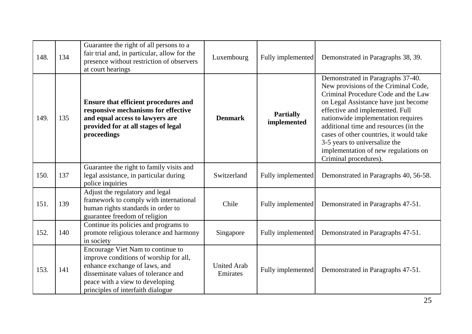| 148. | 134 | Guarantee the right of all persons to a<br>fair trial and, in particular, allow for the<br>presence without restriction of observers<br>at court hearings                                                                   | Luxembourg                     | Fully implemented               | Demonstrated in Paragraphs 38, 39.                                                                                                                                                                                                                                                                                                                                                                                      |
|------|-----|-----------------------------------------------------------------------------------------------------------------------------------------------------------------------------------------------------------------------------|--------------------------------|---------------------------------|-------------------------------------------------------------------------------------------------------------------------------------------------------------------------------------------------------------------------------------------------------------------------------------------------------------------------------------------------------------------------------------------------------------------------|
| 149. | 135 | <b>Ensure that efficient procedures and</b><br>responsive mechanisms for effective<br>and equal access to lawyers are<br>provided for at all stages of legal<br>proceedings                                                 | <b>Denmark</b>                 | <b>Partially</b><br>implemented | Demonstrated in Paragraphs 37-40.<br>New provisions of the Criminal Code,<br>Criminal Procedure Code and the Law<br>on Legal Assistance have just become<br>effective and implemented. Full<br>nationwide implementation requires<br>additional time and resources (in the<br>cases of other countries, it would take<br>3-5 years to universalize the<br>implementation of new regulations on<br>Criminal procedures). |
| 150. | 137 | Guarantee the right to family visits and<br>legal assistance, in particular during<br>police inquiries                                                                                                                      | Switzerland                    | Fully implemented               | Demonstrated in Paragraphs 40, 56-58.                                                                                                                                                                                                                                                                                                                                                                                   |
| 151. | 139 | Adjust the regulatory and legal<br>framework to comply with international<br>human rights standards in order to<br>guarantee freedom of religion                                                                            | Chile                          | Fully implemented               | Demonstrated in Paragraphs 47-51.                                                                                                                                                                                                                                                                                                                                                                                       |
| 152. | 140 | Continue its policies and programs to<br>promote religious tolerance and harmony<br>in society                                                                                                                              | Singapore                      | Fully implemented               | Demonstrated in Paragraphs 47-51.                                                                                                                                                                                                                                                                                                                                                                                       |
| 153. | 141 | Encourage Viet Nam to continue to<br>improve conditions of worship for all,<br>enhance exchange of laws, and<br>disseminate values of tolerance and<br>peace with a view to developing<br>principles of interfaith dialogue | <b>United Arab</b><br>Emirates | Fully implemented               | Demonstrated in Paragraphs 47-51.                                                                                                                                                                                                                                                                                                                                                                                       |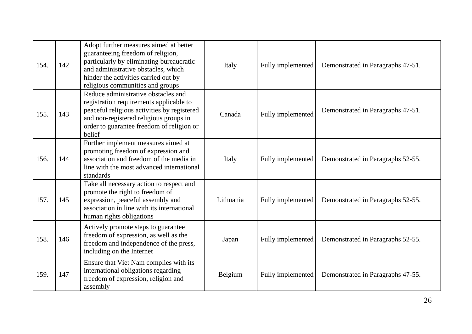| 154. | 142 | Adopt further measures aimed at better<br>guaranteeing freedom of religion,<br>particularly by eliminating bureaucratic<br>and administrative obstacles, which<br>hinder the activities carried out by<br>religious communities and groups | Italy     | Fully implemented | Demonstrated in Paragraphs 47-51. |
|------|-----|--------------------------------------------------------------------------------------------------------------------------------------------------------------------------------------------------------------------------------------------|-----------|-------------------|-----------------------------------|
| 155. | 143 | Reduce administrative obstacles and<br>registration requirements applicable to<br>peaceful religious activities by registered<br>and non-registered religious groups in<br>order to guarantee freedom of religion or<br>belief             | Canada    | Fully implemented | Demonstrated in Paragraphs 47-51. |
| 156. | 144 | Further implement measures aimed at<br>promoting freedom of expression and<br>association and freedom of the media in<br>line with the most advanced international<br>standards                                                            | Italy     | Fully implemented | Demonstrated in Paragraphs 52-55. |
| 157. | 145 | Take all necessary action to respect and<br>promote the right to freedom of<br>expression, peaceful assembly and<br>association in line with its international<br>human rights obligations                                                 | Lithuania | Fully implemented | Demonstrated in Paragraphs 52-55. |
| 158. | 146 | Actively promote steps to guarantee<br>freedom of expression, as well as the<br>freedom and independence of the press,<br>including on the Internet                                                                                        | Japan     | Fully implemented | Demonstrated in Paragraphs 52-55. |
| 159. | 147 | Ensure that Viet Nam complies with its<br>international obligations regarding<br>freedom of expression, religion and<br>assembly                                                                                                           | Belgium   | Fully implemented | Demonstrated in Paragraphs 47-55. |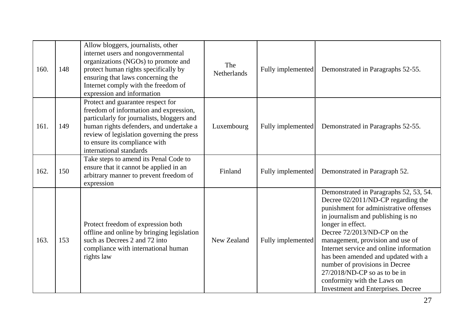| 160. | 148 | Allow bloggers, journalists, other<br>internet users and nongovernmental<br>organizations (NGOs) to promote and<br>protect human rights specifically by<br>ensuring that laws concerning the<br>Internet comply with the freedom of<br>expression and information             | The<br>Netherlands | Fully implemented | Demonstrated in Paragraphs 52-55.                                                                                                                                                                                                                                                                                                                                                                                                                                                       |
|------|-----|-------------------------------------------------------------------------------------------------------------------------------------------------------------------------------------------------------------------------------------------------------------------------------|--------------------|-------------------|-----------------------------------------------------------------------------------------------------------------------------------------------------------------------------------------------------------------------------------------------------------------------------------------------------------------------------------------------------------------------------------------------------------------------------------------------------------------------------------------|
| 161. | 149 | Protect and guarantee respect for<br>freedom of information and expression,<br>particularly for journalists, bloggers and<br>human rights defenders, and undertake a<br>review of legislation governing the press<br>to ensure its compliance with<br>international standards | Luxembourg         | Fully implemented | Demonstrated in Paragraphs 52-55.                                                                                                                                                                                                                                                                                                                                                                                                                                                       |
| 162. | 150 | Take steps to amend its Penal Code to<br>ensure that it cannot be applied in an<br>arbitrary manner to prevent freedom of<br>expression                                                                                                                                       | Finland            | Fully implemented | Demonstrated in Paragraph 52.                                                                                                                                                                                                                                                                                                                                                                                                                                                           |
| 163. | 153 | Protect freedom of expression both<br>offline and online by bringing legislation<br>such as Decrees 2 and 72 into<br>compliance with international human<br>rights law                                                                                                        | New Zealand        | Fully implemented | Demonstrated in Paragraphs 52, 53, 54.<br>Decree 02/2011/ND-CP regarding the<br>punishment for administrative offenses<br>in journalism and publishing is no<br>longer in effect.<br>Decree 72/2013/ND-CP on the<br>management, provision and use of<br>Internet service and online information<br>has been amended and updated with a<br>number of provisions in Decree<br>$27/2018/ND$ -CP so as to be in<br>conformity with the Laws on<br><b>Investment and Enterprises. Decree</b> |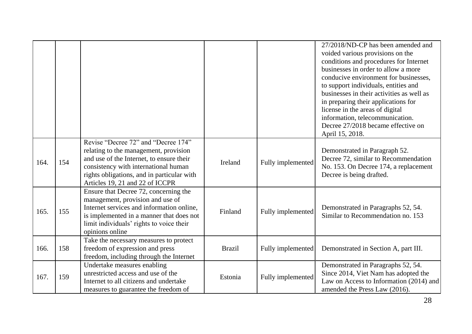|      |     |                                                                                                                                                                                                                                                   |               |                   | 27/2018/ND-CP has been amended and<br>voided various provisions on the<br>conditions and procedures for Internet<br>businesses in order to allow a more<br>conducive environment for businesses.<br>to support individuals, entities and<br>businesses in their activities as well as<br>in preparing their applications for<br>license in the areas of digital<br>information, telecommunication.<br>Decree 27/2018 became effective on<br>April 15, 2018. |
|------|-----|---------------------------------------------------------------------------------------------------------------------------------------------------------------------------------------------------------------------------------------------------|---------------|-------------------|-------------------------------------------------------------------------------------------------------------------------------------------------------------------------------------------------------------------------------------------------------------------------------------------------------------------------------------------------------------------------------------------------------------------------------------------------------------|
| 164. | 154 | Revise "Decree 72" and "Decree 174"<br>relating to the management, provision<br>and use of the Internet, to ensure their<br>consistency with international human<br>rights obligations, and in particular with<br>Articles 19, 21 and 22 of ICCPR | Ireland       | Fully implemented | Demonstrated in Paragraph 52.<br>Decree 72, similar to Recommendation<br>No. 153. On Decree 174, a replacement<br>Decree is being drafted.                                                                                                                                                                                                                                                                                                                  |
| 165. | 155 | Ensure that Decree 72, concerning the<br>management, provision and use of<br>Internet services and information online,<br>is implemented in a manner that does not<br>limit individuals' rights to voice their<br>opinions online                 | Finland       | Fully implemented | Demonstrated in Paragraphs 52, 54.<br>Similar to Recommendation no. 153                                                                                                                                                                                                                                                                                                                                                                                     |
| 166. | 158 | Take the necessary measures to protect<br>freedom of expression and press<br>freedom, including through the Internet                                                                                                                              | <b>Brazil</b> | Fully implemented | Demonstrated in Section A, part III.                                                                                                                                                                                                                                                                                                                                                                                                                        |
| 167. | 159 | Undertake measures enabling<br>unrestricted access and use of the<br>Internet to all citizens and undertake<br>measures to guarantee the freedom of                                                                                               | Estonia       | Fully implemented | Demonstrated in Paragraphs 52, 54.<br>Since 2014, Viet Nam has adopted the<br>Law on Access to Information (2014) and<br>amended the Press Law (2016).                                                                                                                                                                                                                                                                                                      |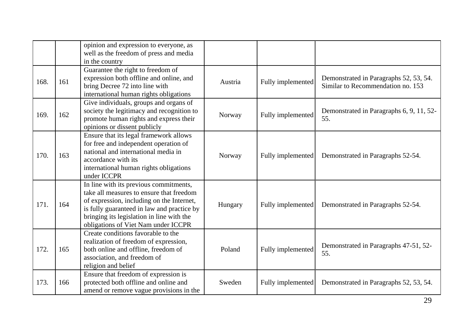|      |     | opinion and expression to everyone, as<br>well as the freedom of press and media<br>in the country                                                                                                                                                                |         |                   |                                                                             |
|------|-----|-------------------------------------------------------------------------------------------------------------------------------------------------------------------------------------------------------------------------------------------------------------------|---------|-------------------|-----------------------------------------------------------------------------|
| 168. | 161 | Guarantee the right to freedom of<br>expression both offline and online, and<br>bring Decree 72 into line with<br>international human rights obligations                                                                                                          | Austria | Fully implemented | Demonstrated in Paragraphs 52, 53, 54.<br>Similar to Recommendation no. 153 |
| 169. | 162 | Give individuals, groups and organs of<br>society the legitimacy and recognition to<br>promote human rights and express their<br>opinions or dissent publicly                                                                                                     | Norway  | Fully implemented | Demonstrated in Paragraphs 6, 9, 11, 52-<br>55.                             |
| 170. | 163 | Ensure that its legal framework allows<br>for free and independent operation of<br>national and international media in<br>accordance with its<br>international human rights obligations<br>under ICCPR                                                            | Norway  | Fully implemented | Demonstrated in Paragraphs 52-54.                                           |
| 171. | 164 | In line with its previous commitments,<br>take all measures to ensure that freedom<br>of expression, including on the Internet,<br>is fully guaranteed in law and practice by<br>bringing its legislation in line with the<br>obligations of Viet Nam under ICCPR | Hungary | Fully implemented | Demonstrated in Paragraphs 52-54.                                           |
| 172. | 165 | Create conditions favorable to the<br>realization of freedom of expression,<br>both online and offline, freedom of<br>association, and freedom of<br>religion and belief                                                                                          | Poland  | Fully implemented | Demonstrated in Paragraphs 47-51, 52-<br>55.                                |
| 173. | 166 | Ensure that freedom of expression is<br>protected both offline and online and<br>amend or remove vague provisions in the                                                                                                                                          | Sweden  | Fully implemented | Demonstrated in Paragraphs 52, 53, 54.                                      |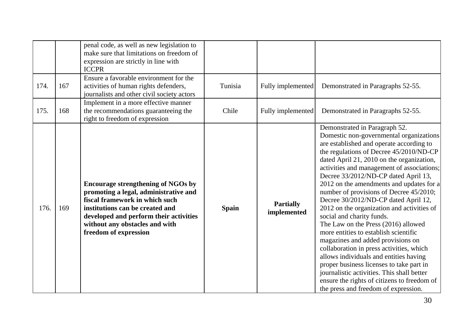|      |     | penal code, as well as new legislation to<br>make sure that limitations on freedom of<br>expression are strictly in line with<br><b>ICCPR</b>                                                                                                                |              |                                 |                                                                                                                                                                                                                                                                                                                                                                                                                                                                                                                                                                                                                                                                                                                                                                                                                                                                                                          |
|------|-----|--------------------------------------------------------------------------------------------------------------------------------------------------------------------------------------------------------------------------------------------------------------|--------------|---------------------------------|----------------------------------------------------------------------------------------------------------------------------------------------------------------------------------------------------------------------------------------------------------------------------------------------------------------------------------------------------------------------------------------------------------------------------------------------------------------------------------------------------------------------------------------------------------------------------------------------------------------------------------------------------------------------------------------------------------------------------------------------------------------------------------------------------------------------------------------------------------------------------------------------------------|
| 174. | 167 | Ensure a favorable environment for the<br>activities of human rights defenders,<br>journalists and other civil society actors                                                                                                                                | Tunisia      | Fully implemented               | Demonstrated in Paragraphs 52-55.                                                                                                                                                                                                                                                                                                                                                                                                                                                                                                                                                                                                                                                                                                                                                                                                                                                                        |
| 175. | 168 | Implement in a more effective manner<br>the recommendations guaranteeing the<br>right to freedom of expression                                                                                                                                               | Chile        | Fully implemented               | Demonstrated in Paragraphs 52-55.                                                                                                                                                                                                                                                                                                                                                                                                                                                                                                                                                                                                                                                                                                                                                                                                                                                                        |
| 176. | 169 | <b>Encourage strengthening of NGOs by</b><br>promoting a legal, administrative and<br>fiscal framework in which such<br>institutions can be created and<br>developed and perform their activities<br>without any obstacles and with<br>freedom of expression | <b>Spain</b> | <b>Partially</b><br>implemented | Demonstrated in Paragraph 52.<br>Domestic non-governmental organizations<br>are established and operate according to<br>the regulations of Decree 45/2010/ND-CP<br>dated April 21, 2010 on the organization,<br>activities and management of associations;<br>Decree 33/2012/ND-CP dated April 13,<br>2012 on the amendments and updates for a<br>number of provisions of Decree 45/2010;<br>Decree 30/2012/ND-CP dated April 12,<br>2012 on the organization and activities of<br>social and charity funds.<br>The Law on the Press (2016) allowed<br>more entities to establish scientific<br>magazines and added provisions on<br>collaboration in press activities, which<br>allows individuals and entities having<br>proper business licenses to take part in<br>journalistic activities. This shall better<br>ensure the rights of citizens to freedom of<br>the press and freedom of expression. |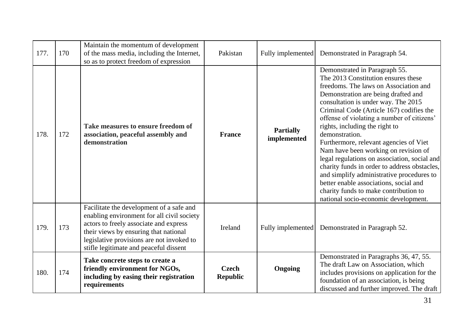| 177. | 170 | Maintain the momentum of development<br>of the mass media, including the Internet,<br>so as to protect freedom of expression                                                                                                                                     | Pakistan                        | Fully implemented               | Demonstrated in Paragraph 54.                                                                                                                                                                                                                                                                                                                                                                                                                                                                                                                                                                                                                                                                       |
|------|-----|------------------------------------------------------------------------------------------------------------------------------------------------------------------------------------------------------------------------------------------------------------------|---------------------------------|---------------------------------|-----------------------------------------------------------------------------------------------------------------------------------------------------------------------------------------------------------------------------------------------------------------------------------------------------------------------------------------------------------------------------------------------------------------------------------------------------------------------------------------------------------------------------------------------------------------------------------------------------------------------------------------------------------------------------------------------------|
| 178. | 172 | Take measures to ensure freedom of<br>association, peaceful assembly and<br>demonstration                                                                                                                                                                        | <b>France</b>                   | <b>Partially</b><br>implemented | Demonstrated in Paragraph 55.<br>The 2013 Constitution ensures these<br>freedoms. The laws on Association and<br>Demonstration are being drafted and<br>consultation is under way. The 2015<br>Criminal Code (Article 167) codifies the<br>offense of violating a number of citizens'<br>rights, including the right to<br>demonstration.<br>Furthermore, relevant agencies of Viet<br>Nam have been working on revision of<br>legal regulations on association, social and<br>charity funds in order to address obstacles,<br>and simplify administrative procedures to<br>better enable associations, social and<br>charity funds to make contribution to<br>national socio-economic development. |
| 179. | 173 | Facilitate the development of a safe and<br>enabling environment for all civil society<br>actors to freely associate and express<br>their views by ensuring that national<br>legislative provisions are not invoked to<br>stifle legitimate and peaceful dissent | Ireland                         | Fully implemented               | Demonstrated in Paragraph 52.                                                                                                                                                                                                                                                                                                                                                                                                                                                                                                                                                                                                                                                                       |
| 180. | 174 | Take concrete steps to create a<br>friendly environment for NGOs,<br>including by easing their registration<br>requirements                                                                                                                                      | <b>Czech</b><br><b>Republic</b> | <b>Ongoing</b>                  | Demonstrated in Paragraphs 36, 47, 55.<br>The draft Law on Association, which<br>includes provisions on application for the<br>foundation of an association, is being<br>discussed and further improved. The draft                                                                                                                                                                                                                                                                                                                                                                                                                                                                                  |